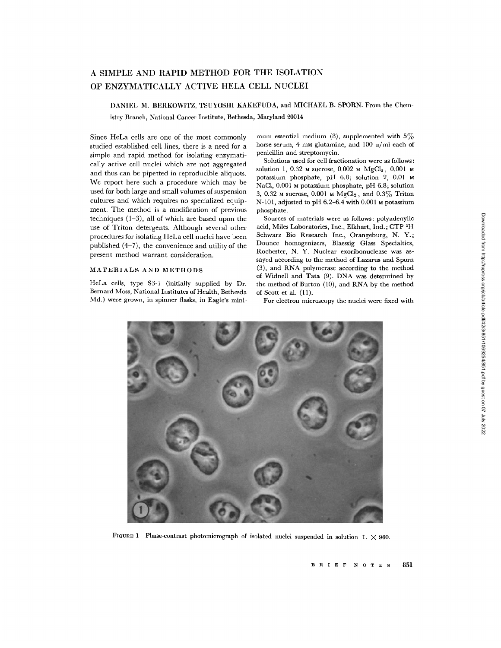# A SIMPLE AND RAPID METHOD FOR THE ISOLATION OF ENZYMATICALLY ACTIVE HELA CELL NUCLEI

DANIEL M. BERKOWITZ, TSUYOSHI KAKEFUDA, and MICHAEL B . SPORN. From the Chem-

istry Branch, National Cancer Institute, Bethesda, Maryland 20014

Since HeLa cells are one of the most commonly studied established cell lines, there is a need for a simple and rapid method for isolating enzymatically active cell nuclei which are not aggregated and thus can be pipetted in reproducible aliquots. We report here such a procedure which may be used for both large and small volumes of suspension cultures and which requires no specialized equipment. The method is a modification of previous techniques  $(1-3)$ , all of which are based upon the use of Triton detergents. Although several other procedures for isolating HeLa cell nuclei have been published (4-7), the convenience and utility of the present method warrant consideration.

## MATERIALS AND METHODS

HeLa cells, type S3-1 (initially supplied by Dr. Bernard Moss, National Institutes of Health, Bethesda Md.) were grown, in spinner flasks, in Eagle's minimum essential medium (8), supplemented with  $5\%$ horse serum, 4 mm glutamine, and 100 u/ml each of penicillin and streptomycin.

Solutions used for cell fractionation were as follows : solution 1, 0.32 M sucrose, 0.002 M MgCl<sub>2</sub>, 0.001 M potassium phosphate, pH 6.8; solution 2, 0.01 M NaCl, 0.001 M potassium phosphate, pH 6.8; solution 3, 0.32 M sucrose, 0.001 M  $MgCl<sub>2</sub>$ , and 0.3% Triton N-101, adjusted to pH  $6.2-6.4$  with 0.001  $\mu$  potassium phosphate.

Sources of materials were as follows : polyadenylic acid, Miles Laboratories, Inc., Elkhart, Ind.; CTP-3H Schwarz Bio Research Inc., Orangeburg, N. Y.; Dounce homogenizers, Blaessig Glass Specialties, Rochester, N. Y. Nuclear exoribonuclease was assayed according to the method of Lazarus and Sporn (3), and RNA polymerase according to the method of Widnell and Tata (9). DNA was determined by the method of Burton (10), and RNA by the method of Scott et al. (11).

For electron microscopy the nuclei were fixed with



FIGURE 1 Phase-contrast photomicrograph of isolated nuclei suspended in solution 1.  $\times$  960.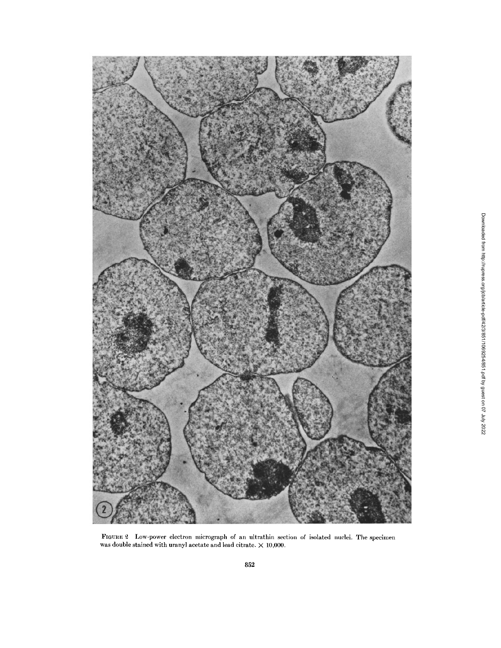

FIGURE 2 Low-power electron micrograph of an ultrathin section of isolated nuclei . The specimen was double stained with uranyl acetate and lead citrate.  $\times$  10,000.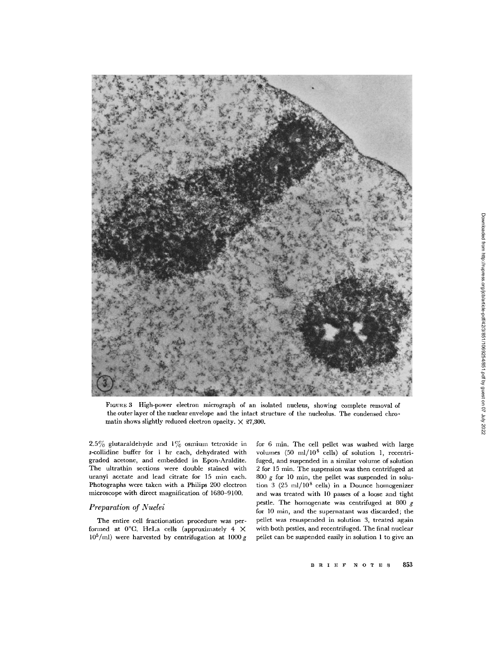

FIGURE 3 High-power electron micrograph of an isolated nucleus, showing complete removal of the outer layer of the nuclear envelope and the intact structure of the nucleolus. The condensed chromatin shows slightly reduced electron opacity.  $\times$  27,300.

2.5% glutaraldehyde and  $1\%$  osmium tetroxide in s-collidine buffer for 1 hr each, dehydrated with graded acetone, and embedded in Epon-Araldite. The ultrathin sections were double stained with uranyl acetate and lead citrate for 15 min each. Photographs were taken with a Philips 200 electron microscope with direct magnification of 1680-9100.

# Preparation of Nuclei

The entire cell fractionation procedure was performed at  $0^{\circ}$ C. HeLa cells (approximately 4  $\times$  $10^5$ /ml) were harvested by centrifugation at  $1000 g$  for 6 min. The cell pellet was washed with large volumes  $(50 \text{ ml}/10^8 \text{ cells})$  of solution 1, recentrifuged, and suspended in a similar volume of solution 2 for 15 min. The suspension was then centrifuged at 800  $g$  for 10 min, the pellet was suspended in solution 3 (25 ml/ $10^8$  cells) in a Dounce homogenizer and was treated with 10 passes of a loose and tight pestle. The homogenate was centrifuged at 800  $g$ for 10 min, and the supernatant was discarded; the pellet was resuspended in solution 3, treated again with both pestles, and recentrifuged. The final nuclear pellet can be suspended easily in solution I to give an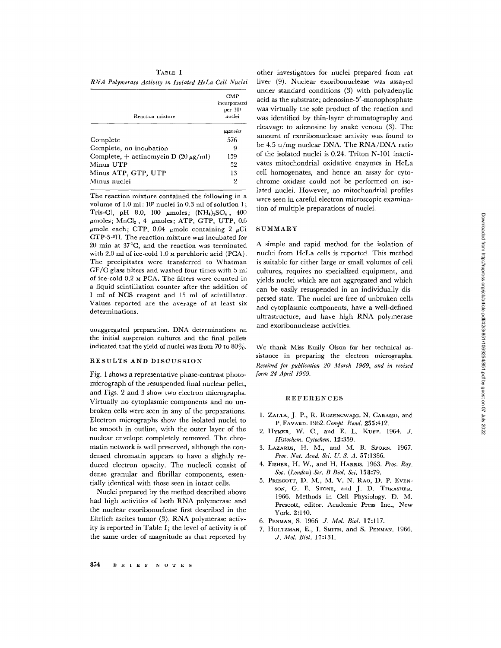RNA Polymerase Activity in Isolated HeLa Cell Nuclei

| Reaction mixture                            | CMP<br>incorporated<br>per $107$<br>nuclei |
|---------------------------------------------|--------------------------------------------|
|                                             | <b>µµmoles</b>                             |
| Complete                                    | 576                                        |
| Complete, no incubation                     | 9                                          |
| Complete, $+$ actinomycin D (20 $\mu$ g/ml) | 159                                        |
| Minus UTP                                   | 52                                         |
| Minus ATP, GTP, UTP                         | 13                                         |
| Minus nuclei                                | 2                                          |

The reaction mixture contained the following in a volume of  $1.0$  ml :  $10<sup>7</sup>$  nuclei in  $0.3$  ml of solution 1; Tris-Cl, pH 8.0, 100  $\mu$ moles;  $(NH_4)_2SO_4$ , 400  $\mu$ moles; MnCl<sub>2</sub>, 4  $\mu$ moles; ATP, GTP, UTP, 0.6  $\mu$ mole each; CTP, 0.04  $\mu$ mole containing 2  $\mu$ Ci CTP-5-3 H . The reaction mixture was incubated for 20 min at 37 °C, and the reaction was terminated with 2.0 ml of ice-cold 1.0 M perchloric acid (PCA). The precipitates were transferred to Whatman GF/C glass filters and washed four times with 5 ml of ice-cold 0.2 м PCA. The filters were counted in a liquid scintillation counter after the addition of 1 ml of NCS reagent and 15 ml of scintillator. Values reported are the average of at least six determinations.

unaggregated preparation. DNA determinations on the initial suspension cultures and the final pellets indicated that the yield of nuclei was from 70 to  $80\%$ .

#### RESULTS AND DISCUSSION

Fig. 1 shows a representative phase-contrast photomicrograph of the resuspended final nuclear pellet, and Figs. 2 and 3 show two electron micrographs. Virtually no cytoplasmic components and no unbroken cells were seen in any of the preparations. Electron micrographs show the isolated nuclei to be smooth in outline, with the outer layer of the nuclear envelope completely removed. The chromatin network is well preserved, although the condensed chromatin appears to have a slightly reduced electron opacity. The nucleoli consist of dense granular and fibrillar components, essentially identical with those seen in intact cells.

Nuclei prepared by the method described above had high activities of both RNA polymerase and the nuclear exoribonuclease first described in the Ehrlich ascites tumor (3). RNA polymerase activity is reported in Table I; the level of activity is of the same order of magnitude as that reported by

other investigators for nuclei prepared from rat liver (9). Nuclear exoribonuclease was assayed under standard conditions (3) with polyadenylic acid as the substrate ; adenosine-5'-monophosphate was virtually the sole product of the reaction and was identified by thin-layer chromatography and cleavage to adenosine by snake venom (3). The amount of exoribonuclease activity was found to be 4.5 u/mg nuclear DNA. The RNA/DNA ratio of the isolated nuclei is 0.24. Triton N-101 inactivates mitochondrial oxidative enzymes in HeLa cell homogenates, and hence an assay for cytochrome oxidase could not be performed on isolated nuclei. However, no mitochondrial profiles were seen in careful electron microscopic examination of multiple preparations of nuclei.

### SUMMARY

A simple and rapid method for the isolation of nuclei from HeLa cells is reported. This method is suitable for either large or small volumes of cell cultures, requires no specialized equipment, and yields nuclei which are not aggregated and which can be easily resuspended in an individually dispersed state. The nuclei are free of unbroken cells and cytoplasmic components, have a well-defined ultrastructure, and have high RNA polymerase and exoribonuclease activities.

We thank Miss Emily Olson for her technical assistance in preparing the electron micrographs. Received for publication 20 March 1969, and in revised form 24 April 1969.

#### REFERENCES

- 1. ZALTA, J. P., R. ROZENCWAJG, N. CARASSO, and P. FAVARD. 1962. Compt. Rend. 255:412.
- 2. HYMER, W. C., and E. L. KUFF. 1964. J. Histochem. Cytochem. 12:359.
- 3. LAZARUS, H. M., and M. B. SPORN, 1967. Proc. Nat. Acad. Sci. U. S. A. 57:1386.
- 4. FISHER, H. W., and H. HARRIS. 1963. Proc. Roy. Soc. (London) Ser. B Biol. Sci. 158:79.
- 5. PRESCOTT, D. M., M. V. N. RAO, D. P. EVEN-SON, G. E. STONE, and J. D. THRASHER. 1966. Methods in Cell Physiology. D. M. Prescott, editor. Academic Press Inc., New York. 2:140.
- 6. PENMAN, S. 1966. J. Mol. Biol. 17:117.
- 7. HOLTZMAN, E., I. SMITH, and S. PENMAN. 1966. J. Mol. Biol. 17:131.